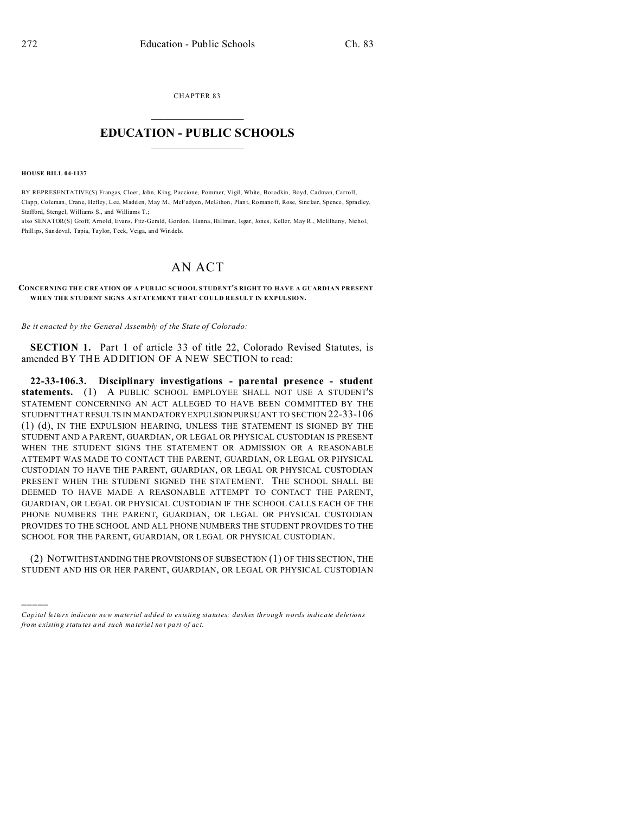CHAPTER 83  $\overline{\phantom{a}}$  , where  $\overline{\phantom{a}}$ 

## **EDUCATION - PUBLIC SCHOOLS**  $\_$   $\_$   $\_$   $\_$   $\_$   $\_$   $\_$   $\_$   $\_$

**HOUSE BILL 04-1137**

)))))

BY REPRESENTATIVE(S) Frangas, Cloer, Jahn, King, Paccione, Pommer, Vigil, White, Borodkin, Boyd, Cadman, Carroll, Clapp, Coleman, Crane, Hefley, Lee, Madden, May M., McFadyen, McGihon, Plant, Romanoff, Rose, Sinclair, Spence, Spradley, Stafford, Stengel, Williams S., and Williams T.;

also SENATOR(S) Groff, Arnold, Evans, Fitz-Gerald, Gordon, Hanna, Hillman, Isgar, Jones, Keller, May R., McElhany, Nichol, Phillips, Sandoval, Tapia, Taylor, Teck, Veiga, and Windels.

## AN ACT

**CONCERNING THE C RE ATION OF A P UB LIC SCHOOL STUDENT'S RIGHT TO HAVE A GUARDIAN PRESENT WHEN THE STUDENT SIGNS A STATEMENT THAT COULD RESULT IN EXPULSION.**

*Be it enacted by the General Assembly of the State of Colorado:*

**SECTION 1.** Part 1 of article 33 of title 22, Colorado Revised Statutes, is amended BY THE ADDITION OF A NEW SECTION to read:

**22-33-106.3. Disciplinary investigations - parental presence - student statements.** (1) A PUBLIC SCHOOL EMPLOYEE SHALL NOT USE A STUDENT'S STATEMENT CONCERNING AN ACT ALLEGED TO HAVE BEEN COMMITTED BY THE STUDENT THAT RESULTS IN MANDATORYEXPULSION PURSUANT TO SECTION 22-33-106 (1) (d), IN THE EXPULSION HEARING, UNLESS THE STATEMENT IS SIGNED BY THE STUDENT AND A PARENT, GUARDIAN, OR LEGAL OR PHYSICAL CUSTODIAN IS PRESENT WHEN THE STUDENT SIGNS THE STATEMENT OR ADMISSION OR A REASONABLE ATTEMPT WAS MADE TO CONTACT THE PARENT, GUARDIAN, OR LEGAL OR PHYSICAL CUSTODIAN TO HAVE THE PARENT, GUARDIAN, OR LEGAL OR PHYSICAL CUSTODIAN PRESENT WHEN THE STUDENT SIGNED THE STATEMENT. THE SCHOOL SHALL BE DEEMED TO HAVE MADE A REASONABLE ATTEMPT TO CONTACT THE PARENT, GUARDIAN, OR LEGAL OR PHYSICAL CUSTODIAN IF THE SCHOOL CALLS EACH OF THE PHONE NUMBERS THE PARENT, GUARDIAN, OR LEGAL OR PHYSICAL CUSTODIAN PROVIDES TO THE SCHOOL AND ALL PHONE NUMBERS THE STUDENT PROVIDES TO THE SCHOOL FOR THE PARENT, GUARDIAN, OR LEGAL OR PHYSICAL CUSTODIAN.

(2) NOTWITHSTANDING THE PROVISIONS OF SUBSECTION (1) OF THIS SECTION, THE STUDENT AND HIS OR HER PARENT, GUARDIAN, OR LEGAL OR PHYSICAL CUSTODIAN

*Capital letters indicate new material added to existing statutes; dashes through words indicate deletions from e xistin g statu tes a nd such ma teria l no t pa rt of ac t.*